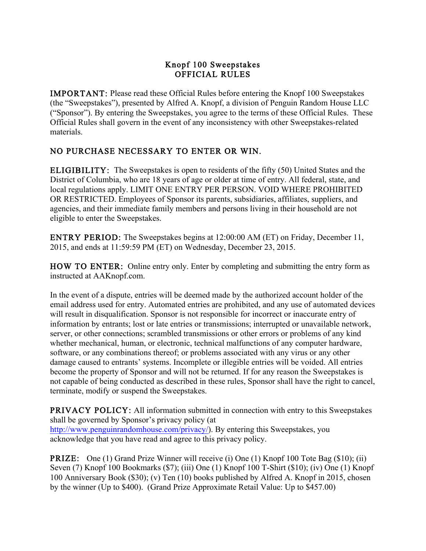## Knopf 100 Sweepstakes OFFICIAL RULES

IMPORTANT: Please read these Official Rules before entering the Knopf 100 Sweepstakes (the "Sweepstakes"), presented by Alfred A. Knopf, a division of Penguin Random House LLC ("Sponsor"). By entering the Sweepstakes, you agree to the terms of these Official Rules. These Official Rules shall govern in the event of any inconsistency with other Sweepstakes-related materials.

## NO PURCHASE NECESSARY TO ENTER OR WIN.

ELIGIBILITY: The Sweepstakes is open to residents of the fifty (50) United States and the District of Columbia, who are 18 years of age or older at time of entry. All federal, state, and local regulations apply. LIMIT ONE ENTRY PER PERSON. VOID WHERE PROHIBITED OR RESTRICTED. Employees of Sponsor its parents, subsidiaries, affiliates, suppliers, and agencies, and their immediate family members and persons living in their household are not eligible to enter the Sweepstakes.

ENTRY PERIOD: The Sweepstakes begins at 12:00:00 AM (ET) on Friday, December 11, 2015, and ends at 11:59:59 PM (ET) on Wednesday, December 23, 2015.

HOW TO ENTER: Online entry only. Enter by completing and submitting the entry form as instructed at AAKnopf.com.

In the event of a dispute, entries will be deemed made by the authorized account holder of the email address used for entry. Automated entries are prohibited, and any use of automated devices will result in disqualification. Sponsor is not responsible for incorrect or inaccurate entry of information by entrants; lost or late entries or transmissions; interrupted or unavailable network, server, or other connections; scrambled transmissions or other errors or problems of any kind whether mechanical, human, or electronic, technical malfunctions of any computer hardware, software, or any combinations thereof; or problems associated with any virus or any other damage caused to entrants' systems. Incomplete or illegible entries will be voided. All entries become the property of Sponsor and will not be returned. If for any reason the Sweepstakes is not capable of being conducted as described in these rules, Sponsor shall have the right to cancel, terminate, modify or suspend the Sweepstakes.

PRIVACY POLICY: All information submitted in connection with entry to this Sweepstakes shall be governed by Sponsor's privacy policy (at http://www.penguinrandomhouse.com/privacy/). By entering this Sweepstakes, you acknowledge that you have read and agree to this privacy policy.

PRIZE: One (1) Grand Prize Winner will receive (i) One (1) Knopf 100 Tote Bag (\$10); (ii) Seven (7) Knopf 100 Bookmarks (\$7); (iii) One (1) Knopf 100 T-Shirt (\$10); (iv) One (1) Knopf 100 Anniversary Book (\$30); (v) Ten (10) books published by Alfred A. Knopf in 2015, chosen by the winner (Up to \$400). (Grand Prize Approximate Retail Value: Up to \$457.00)